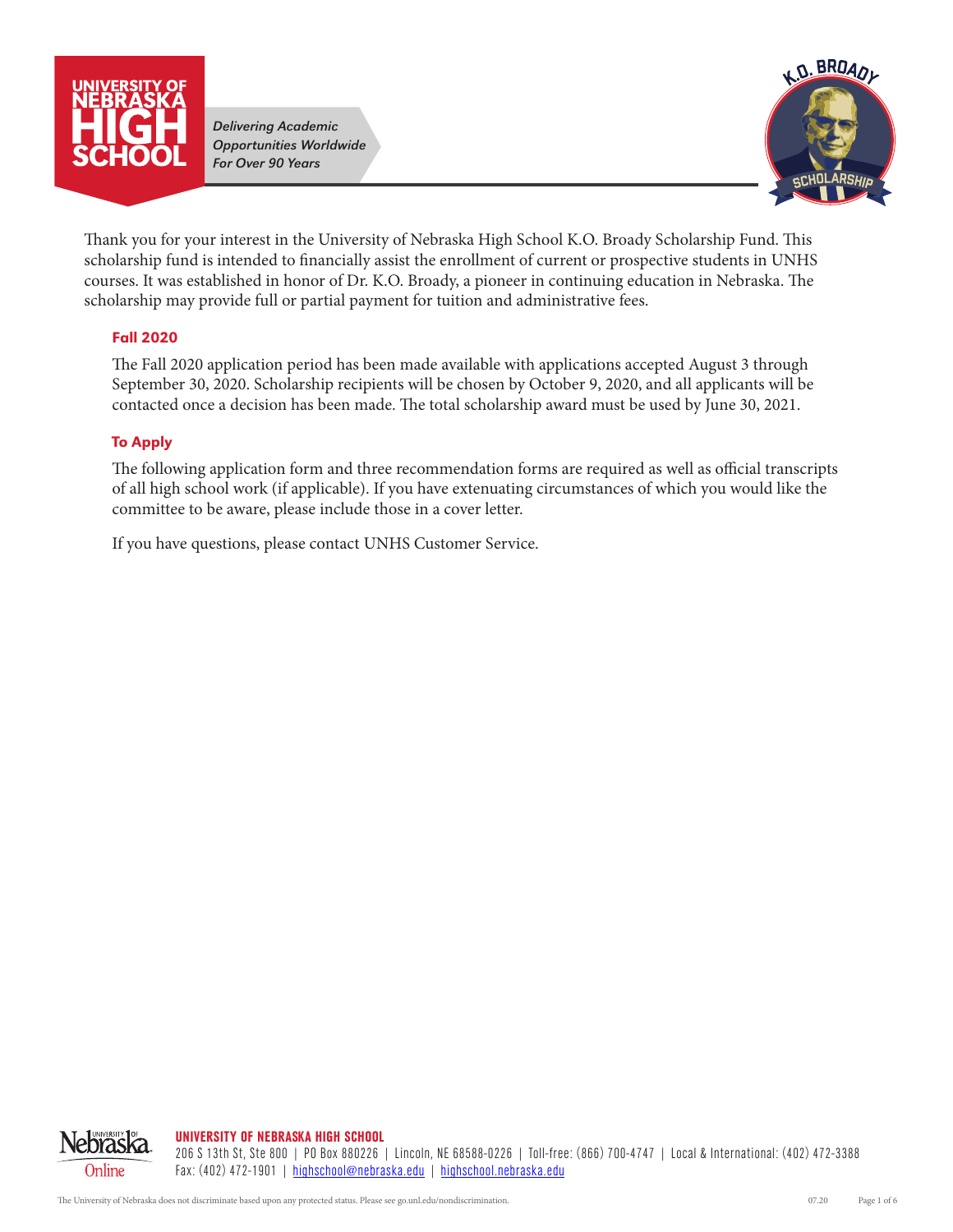

*Delivering Academic Opportunities Worldwide For Over 90 Years*



Thank you for your interest in the University of Nebraska High School K.O. Broady Scholarship Fund. This scholarship fund is intended to financially assist the enrollment of current or prospective students in UNHS courses. It was established in honor of Dr. K.O. Broady, a pioneer in continuing education in Nebraska. The scholarship may provide full or partial payment for tuition and administrative fees.

## Fall 2020

The Fall 2020 application period has been made available with applications accepted August 3 through September 30, 2020. Scholarship recipients will be chosen by October 9, 2020, and all applicants will be contacted once a decision has been made. The total scholarship award must be used by June 30, 2021.

## To Apply

The following application form and three recommendation forms are required as well as official transcripts of all high school work (if applicable). If you have extenuating circumstances of which you would like the committee to be aware, please include those in a cover letter.

If you have questions, please contact UNHS Customer Service.

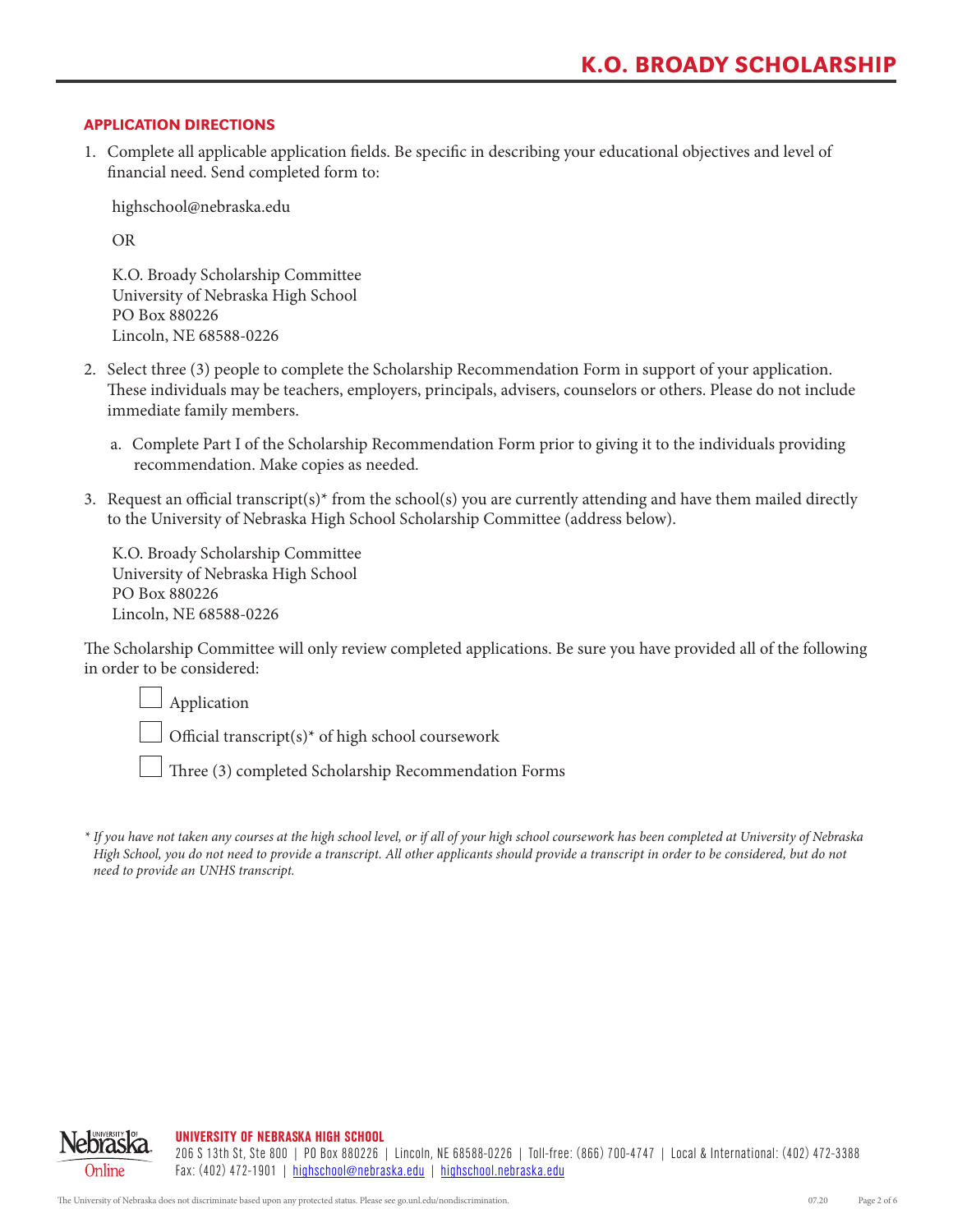### APPLICATION DIRECTIONS

1. Complete all applicable application fields. Be specific in describing your educational objectives and level of financial need. Send completed form to:

highschool@nebraska.edu

OR

K.O. Broady Scholarship Committee University of Nebraska High School PO Box 880226 Lincoln, NE 68588-0226

- 2. Select three (3) people to complete the Scholarship Recommendation Form in support of your application. These individuals may be teachers, employers, principals, advisers, counselors or others. Please do not include immediate family members.
	- a. Complete Part I of the Scholarship Recommendation Form prior to giving it to the individuals providing recommendation. Make copies as needed.
- 3. Request an official transcript(s)<sup>\*</sup> from the school(s) you are currently attending and have them mailed directly to the University of Nebraska High School Scholarship Committee (address below).

K.O. Broady Scholarship Committee University of Nebraska High School PO Box 880226 Lincoln, NE 68588-0226

The Scholarship Committee will only review completed applications. Be sure you have provided all of the following in order to be considered:

 Application Official transcript(s)\* of high school coursework

Three (3) completed Scholarship Recommendation Forms



*<sup>\*</sup> If you have not taken any courses at the high school level, or if all of your high school coursework has been completed at University of Nebraska High School, you do not need to provide a transcript. All other applicants should provide a transcript in order to be considered, but do not need to provide an UNHS transcript.*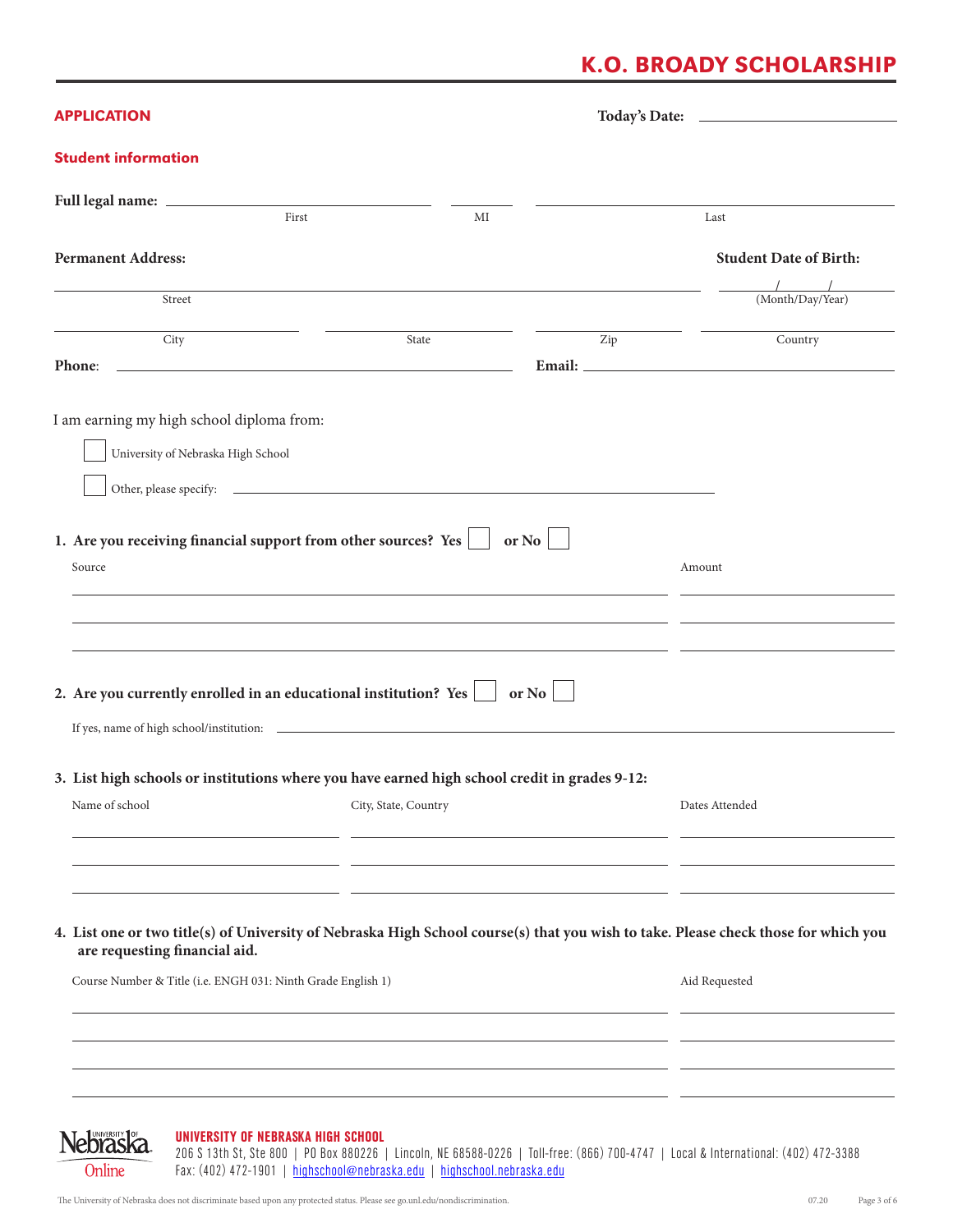## K.O. BROADY SCHOLARSHIP

| <b>APPLICATION</b>                                                                                                                                                                                                                              |       |    |       |                                                                                                                            |
|-------------------------------------------------------------------------------------------------------------------------------------------------------------------------------------------------------------------------------------------------|-------|----|-------|----------------------------------------------------------------------------------------------------------------------------|
| <b>Student information</b>                                                                                                                                                                                                                      |       |    |       |                                                                                                                            |
| First                                                                                                                                                                                                                                           |       | MI |       | Last                                                                                                                       |
| <b>Permanent Address:</b>                                                                                                                                                                                                                       |       |    |       | <b>Student Date of Birth:</b>                                                                                              |
| Street                                                                                                                                                                                                                                          |       |    |       | (Month/Day/Year)                                                                                                           |
| City<br>Phone:<br>the control of the control of the control of the control of the control of the control of the control of the control of the control of the control of the control of the control of the control of the control of the control | State |    | Zip   | Country                                                                                                                    |
| I am earning my high school diploma from:<br>University of Nebraska High School<br>1. Are you receiving financial support from other sources? Yes<br>Source                                                                                     |       |    | or No | Amount                                                                                                                     |
| 2. Are you currently enrolled in an educational institution? Yes $\Box$ or No                                                                                                                                                                   |       |    |       |                                                                                                                            |
| 3. List high schools or institutions where you have earned high school credit in grades 9-12:                                                                                                                                                   |       |    |       |                                                                                                                            |
| City, State, Country<br>Name of school                                                                                                                                                                                                          |       |    |       | Dates Attended                                                                                                             |
| 4. List one or two title(s) of University of Nebraska High School course(s) that you wish to take. Please check those for which you<br>are requesting financial aid.                                                                            |       |    |       |                                                                                                                            |
| Course Number & Title (i.e. ENGH 031: Ninth Grade English 1)                                                                                                                                                                                    |       |    |       | Aid Requested                                                                                                              |
|                                                                                                                                                                                                                                                 |       |    |       |                                                                                                                            |
|                                                                                                                                                                                                                                                 |       |    |       |                                                                                                                            |
| lebraska<br>UNIVERSITY OF NEBRASKA HIGH SCHOOL                                                                                                                                                                                                  |       |    |       | 206 State State Only 120 Roy 880226 Lincoln NE 68588 0226 Lightfroot (866) 200 4747 Lincol & International: (402) 472 3388 |

206 S 13th St, Ste 800 | PO Box 880226 | Lincoln, NE 68588-0226 | Toll-free: (866) 700-4747 | Local & International: (402) 472-3388 Fax: (402) 472-1901 | highschool@nebraska.edu | highschool.nebraska.edu

Online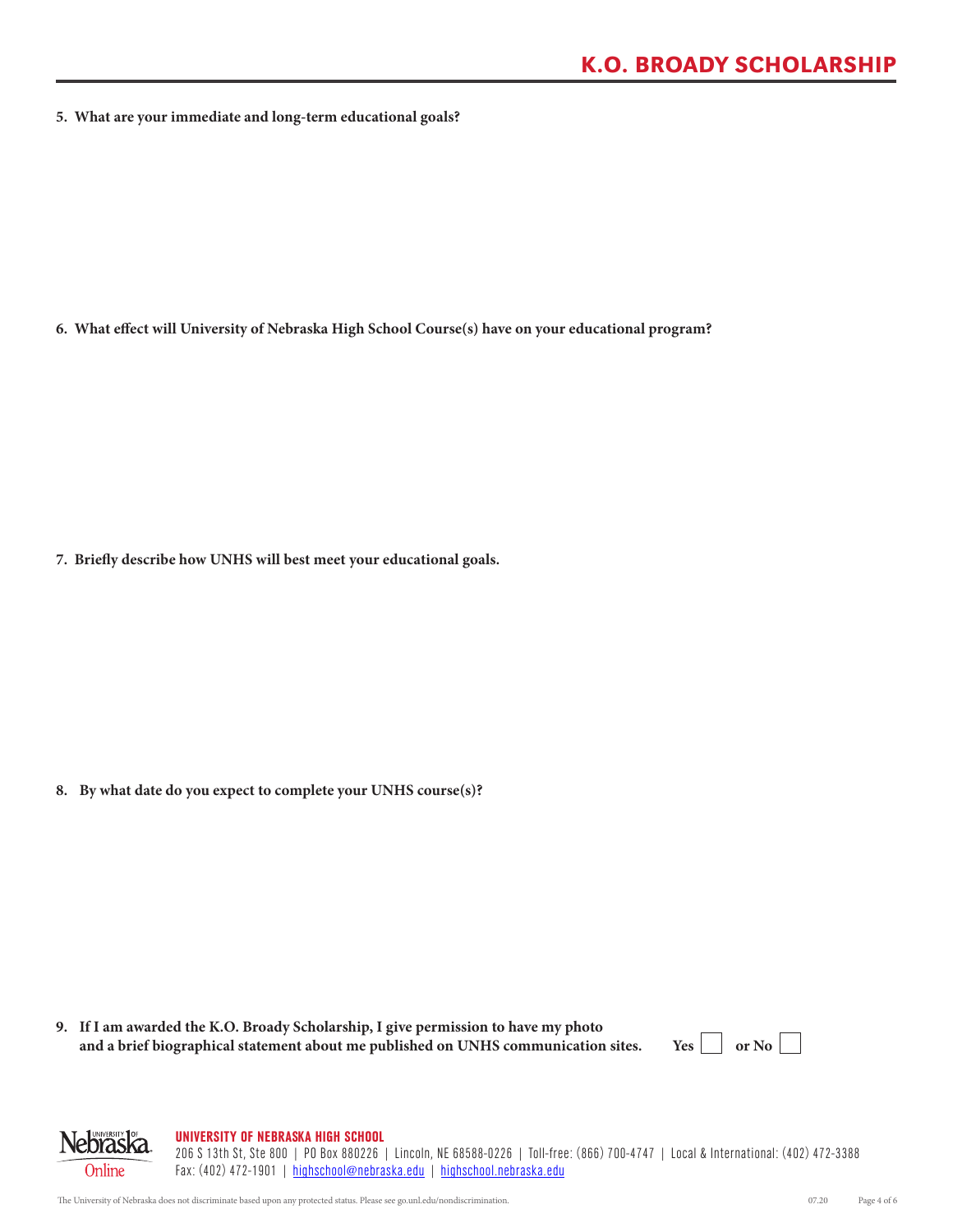**5. What are your immediate and long-term educational goals?**

**6. What effect will University of Nebraska High School Course(s) have on your educational program?**

**7. Briefly describe how UNHS will best meet your educational goals.**

**8. By what date do you expect to complete your UNHS course(s)?**

**9. If I am awarded the K.O. Broady Scholarship, I give permission to have my photo**  and a brief biographical statement about me published on UNHS communication sites. Yes  $\Box$  or No  $\Box$ 

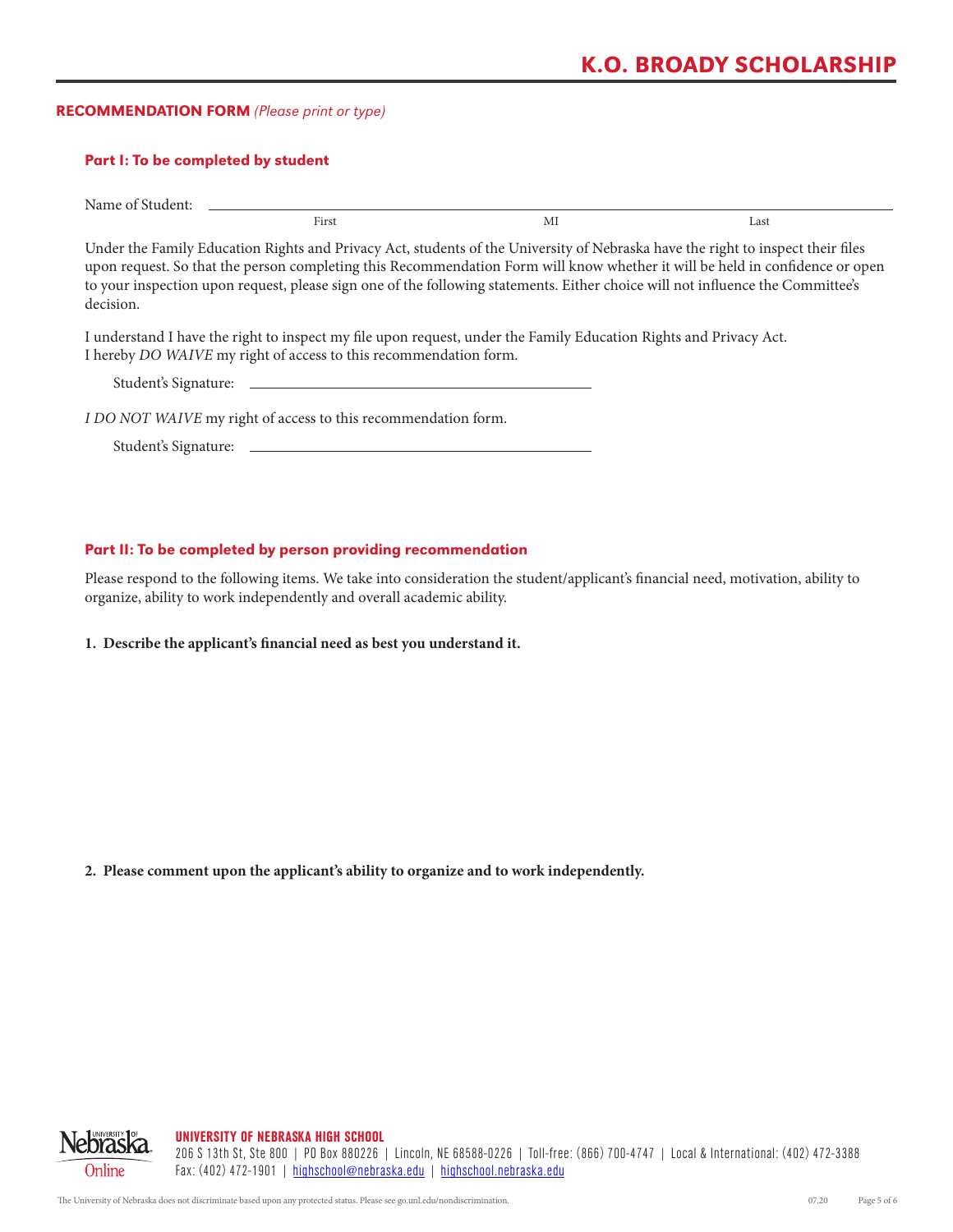# K.O. BROADY SCHOLARSHIP

### RECOMMENDATION FORM *(Please print or type)*

#### Part I: To be completed by student

Name of Student:

First MI Last

Under the Family Education Rights and Privacy Act, students of the University of Nebraska have the right to inspect their files upon request. So that the person completing this Recommendation Form will know whether it will be held in confidence or open to your inspection upon request, please sign one of the following statements. Either choice will not influence the Committee's decision.

I understand I have the right to inspect my file upon request, under the Family Education Rights and Privacy Act. I hereby *DO WAIVE* my right of access to this recommendation form.

Student's Signature:

*I DO NOT WAIVE* my right of access to this recommendation form.

Student's Signature:

#### Part II: To be completed by person providing recommendation

Please respond to the following items. We take into consideration the student/applicant's financial need, motivation, ability to organize, ability to work independently and overall academic ability.

**1. Describe the applicant's financial need as best you understand it.**

**2. Please comment upon the applicant's ability to organize and to work independently.**